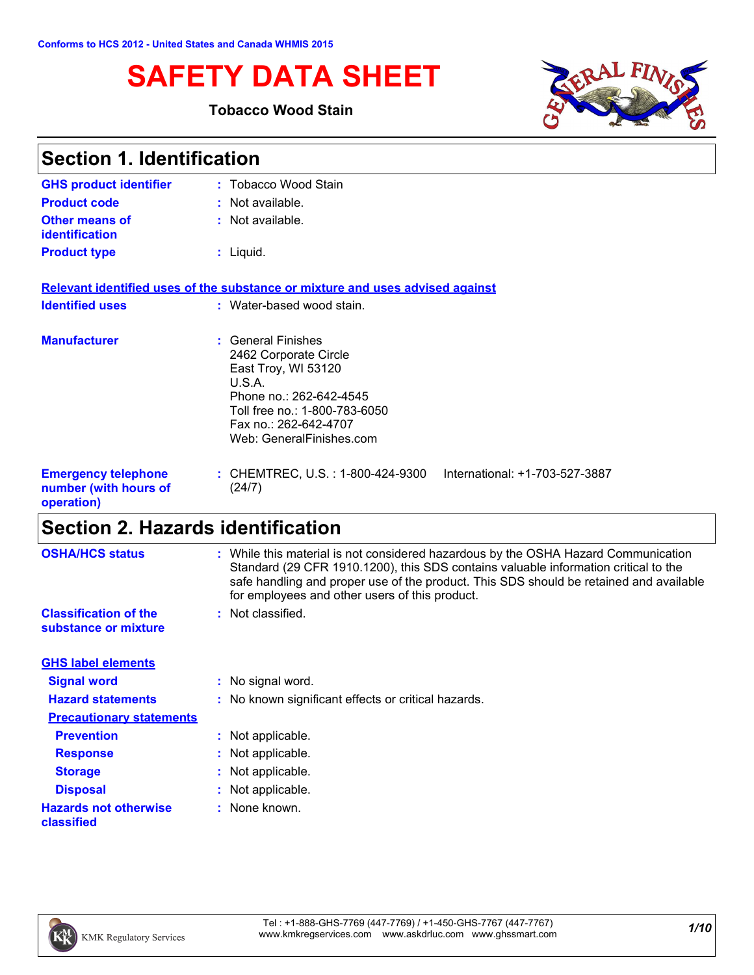# **SAFETY DATA SHEET**

### **Tobacco Wood Stain**



| <b>Section 1. Identification</b>                                  |                                                                                                                                                                                               |  |
|-------------------------------------------------------------------|-----------------------------------------------------------------------------------------------------------------------------------------------------------------------------------------------|--|
| <b>GHS product identifier</b>                                     | : Tobacco Wood Stain                                                                                                                                                                          |  |
| <b>Product code</b>                                               | : Not available.                                                                                                                                                                              |  |
| <b>Other means of</b><br>identification                           | : Not available.                                                                                                                                                                              |  |
| <b>Product type</b>                                               | $:$ Liquid.                                                                                                                                                                                   |  |
|                                                                   | Relevant identified uses of the substance or mixture and uses advised against                                                                                                                 |  |
| <b>Identified uses</b>                                            | : Water-based wood stain.                                                                                                                                                                     |  |
| <b>Manufacturer</b>                                               | : General Finishes<br>2462 Corporate Circle<br>East Troy, WI 53120<br>U.S.A.<br>Phone no.: 262-642-4545<br>Toll free no.: 1-800-783-6050<br>Fax no.: 262-642-4707<br>Web: GeneralFinishes.com |  |
| <b>Emergency telephone</b><br>number (with hours of<br>operation) | : CHEMTREC, U.S. : 1-800-424-9300<br>International: +1-703-527-3887<br>(24/7)                                                                                                                 |  |

# **Section 2. Hazards identification**

| <b>OSHA/HCS status</b>                               | : While this material is not considered hazardous by the OSHA Hazard Communication<br>Standard (29 CFR 1910.1200), this SDS contains valuable information critical to the<br>safe handling and proper use of the product. This SDS should be retained and available<br>for employees and other users of this product. |
|------------------------------------------------------|-----------------------------------------------------------------------------------------------------------------------------------------------------------------------------------------------------------------------------------------------------------------------------------------------------------------------|
| <b>Classification of the</b><br>substance or mixture | : Not classified.                                                                                                                                                                                                                                                                                                     |
| <b>GHS label elements</b>                            |                                                                                                                                                                                                                                                                                                                       |
| <b>Signal word</b>                                   | : No signal word.                                                                                                                                                                                                                                                                                                     |
| <b>Hazard statements</b>                             | : No known significant effects or critical hazards.                                                                                                                                                                                                                                                                   |
| <b>Precautionary statements</b>                      |                                                                                                                                                                                                                                                                                                                       |
| <b>Prevention</b>                                    | : Not applicable.                                                                                                                                                                                                                                                                                                     |
| <b>Response</b>                                      | : Not applicable.                                                                                                                                                                                                                                                                                                     |
| <b>Storage</b>                                       | : Not applicable.                                                                                                                                                                                                                                                                                                     |
| <b>Disposal</b>                                      | : Not applicable.                                                                                                                                                                                                                                                                                                     |
| <b>Hazards not otherwise</b><br>classified           | : None known.                                                                                                                                                                                                                                                                                                         |

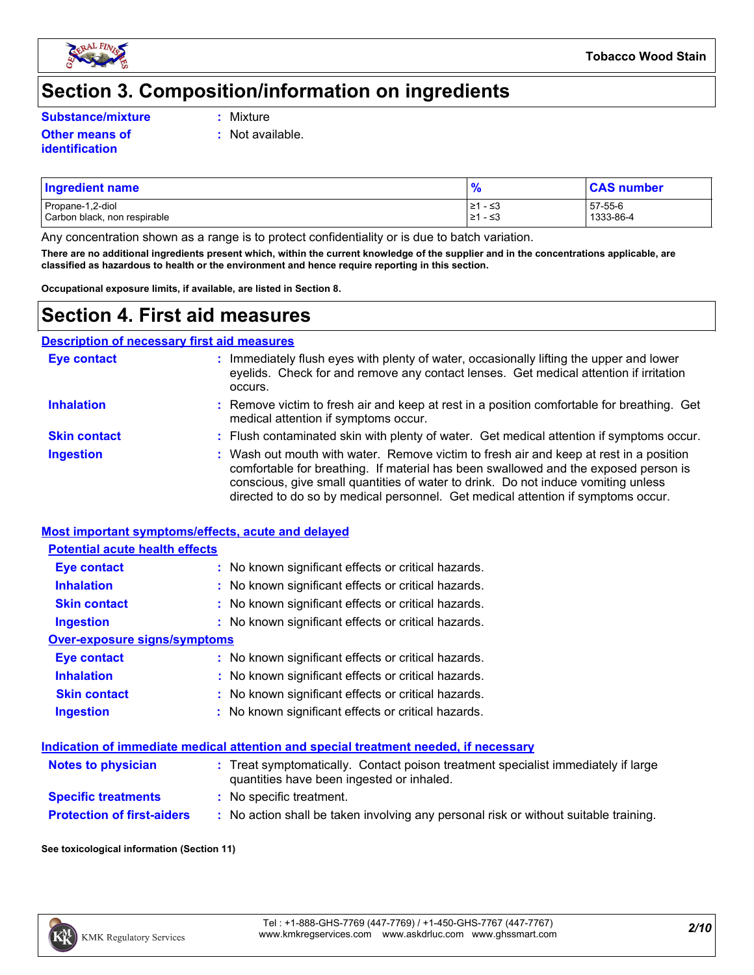

### **Section 3. Composition/information on ingredients**

**Substance/mixture :**

**Other means of identification**

- : Mixture
- **:** Not available.

### Propane-1,2-diol  $\begin{array}{|l|l|}\n\hline\n&21 & -53 \\
\hline\n&21 & -53\n\end{array}$  57-55-6  $\begin{array}{|l|l|}\n\hline\n&21 & -53 \\
\hline\n&21 & -53\n\end{array}$  57-55-6 1333-86-4 Carbon black, non respirable **Ingredient name % CAS number**

Any concentration shown as a range is to protect confidentiality or is due to batch variation.

**There are no additional ingredients present which, within the current knowledge of the supplier and in the concentrations applicable, are classified as hazardous to health or the environment and hence require reporting in this section.**

**Occupational exposure limits, if available, are listed in Section 8.**

### **Section 4. First aid measures**

| <b>Description of necessary first aid measures</b> |                                                                                                                                                                                                                                                                                                                                                        |
|----------------------------------------------------|--------------------------------------------------------------------------------------------------------------------------------------------------------------------------------------------------------------------------------------------------------------------------------------------------------------------------------------------------------|
| <b>Eye contact</b>                                 | Immediately flush eyes with plenty of water, occasionally lifting the upper and lower<br>eyelids. Check for and remove any contact lenses. Get medical attention if irritation<br>occurs.                                                                                                                                                              |
| <b>Inhalation</b>                                  | : Remove victim to fresh air and keep at rest in a position comfortable for breathing. Get<br>medical attention if symptoms occur.                                                                                                                                                                                                                     |
| <b>Skin contact</b>                                | : Flush contaminated skin with plenty of water. Get medical attention if symptoms occur.                                                                                                                                                                                                                                                               |
| <b>Ingestion</b>                                   | : Wash out mouth with water. Remove victim to fresh air and keep at rest in a position<br>comfortable for breathing. If material has been swallowed and the exposed person is<br>conscious, give small quantities of water to drink. Do not induce vomiting unless<br>directed to do so by medical personnel. Get medical attention if symptoms occur. |

#### **Most important symptoms/effects, acute and delayed**

#### **Potential acute health effects**

| <b>Eye contact</b>           | : No known significant effects or critical hazards. |
|------------------------------|-----------------------------------------------------|
| <b>Inhalation</b>            | : No known significant effects or critical hazards. |
| <b>Skin contact</b>          | : No known significant effects or critical hazards. |
| <b>Ingestion</b>             | : No known significant effects or critical hazards. |
| Over-exposure signs/symptoms |                                                     |
| <b>Eye contact</b>           | : No known significant effects or critical hazards. |
| <b>Inhalation</b>            | : No known significant effects or critical hazards. |
| <b>Skin contact</b>          | : No known significant effects or critical hazards. |

**Ingestion** No known significant effects or critical hazards. **:**

#### **Indication of immediate medical attention and special treatment needed, if necessary**

| <b>Notes to physician</b>         | : Treat symptomatically. Contact poison treatment specialist immediately if large<br>quantities have been ingested or inhaled. |
|-----------------------------------|--------------------------------------------------------------------------------------------------------------------------------|
| <b>Specific treatments</b>        | : No specific treatment.                                                                                                       |
| <b>Protection of first-aiders</b> | No action shall be taken involving any personal risk or without suitable training.                                             |

**See toxicological information (Section 11)**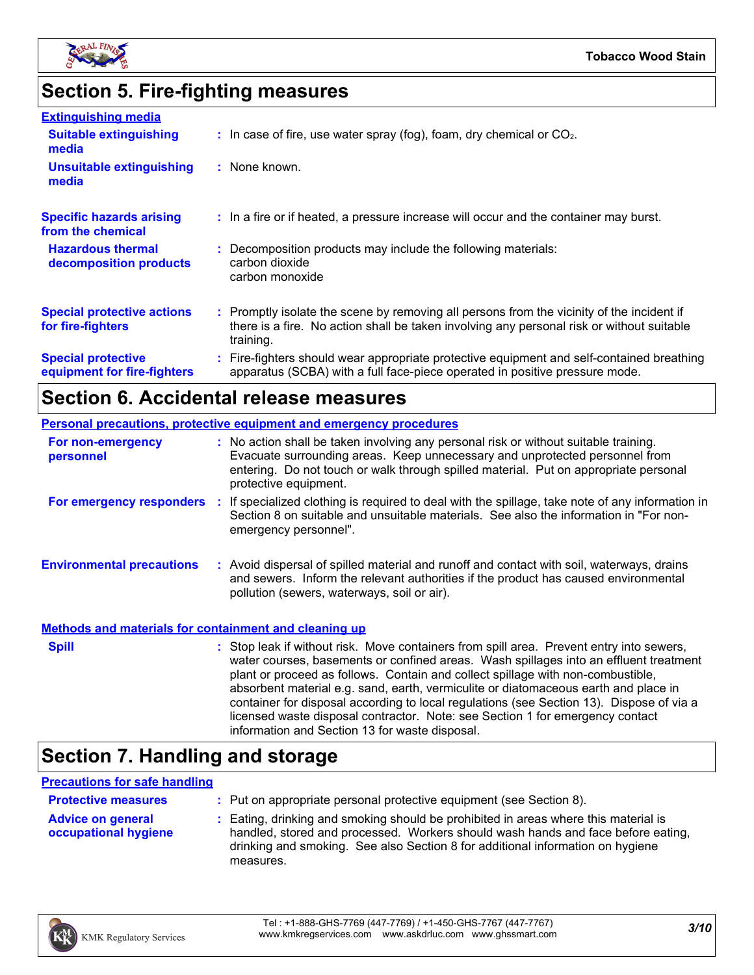

# **Section 5. Fire-fighting measures**

| <b>Extinguishing media</b>                               |                                                                                                                                                                                                     |
|----------------------------------------------------------|-----------------------------------------------------------------------------------------------------------------------------------------------------------------------------------------------------|
| <b>Suitable extinguishing</b><br>media                   | $\therefore$ In case of fire, use water spray (fog), foam, dry chemical or CO <sub>2</sub> .                                                                                                        |
| <b>Unsuitable extinguishing</b><br>media                 | : None known.                                                                                                                                                                                       |
| <b>Specific hazards arising</b><br>from the chemical     | : In a fire or if heated, a pressure increase will occur and the container may burst.                                                                                                               |
| <b>Hazardous thermal</b><br>decomposition products       | : Decomposition products may include the following materials:<br>carbon dioxide<br>carbon monoxide                                                                                                  |
| <b>Special protective actions</b><br>for fire-fighters   | : Promptly isolate the scene by removing all persons from the vicinity of the incident if<br>there is a fire. No action shall be taken involving any personal risk or without suitable<br>training. |
| <b>Special protective</b><br>equipment for fire-fighters | : Fire-fighters should wear appropriate protective equipment and self-contained breathing<br>apparatus (SCBA) with a full face-piece operated in positive pressure mode.                            |

## **Section 6. Accidental release measures**

| <b>Personal precautions, protective equipment and emergency procedures</b> |  |                                                                                                                                                                                                                                                                                                                                                                                                                                                                                                                                                                                            |
|----------------------------------------------------------------------------|--|--------------------------------------------------------------------------------------------------------------------------------------------------------------------------------------------------------------------------------------------------------------------------------------------------------------------------------------------------------------------------------------------------------------------------------------------------------------------------------------------------------------------------------------------------------------------------------------------|
| For non-emergency<br>personnel                                             |  | : No action shall be taken involving any personal risk or without suitable training.<br>Evacuate surrounding areas. Keep unnecessary and unprotected personnel from<br>entering. Do not touch or walk through spilled material. Put on appropriate personal<br>protective equipment.                                                                                                                                                                                                                                                                                                       |
| For emergency responders :                                                 |  | If specialized clothing is required to deal with the spillage, take note of any information in<br>Section 8 on suitable and unsuitable materials. See also the information in "For non-<br>emergency personnel".                                                                                                                                                                                                                                                                                                                                                                           |
| <b>Environmental precautions</b>                                           |  | : Avoid dispersal of spilled material and runoff and contact with soil, waterways, drains<br>and sewers. Inform the relevant authorities if the product has caused environmental<br>pollution (sewers, waterways, soil or air).                                                                                                                                                                                                                                                                                                                                                            |
| <b>Methods and materials for containment and cleaning up</b>               |  |                                                                                                                                                                                                                                                                                                                                                                                                                                                                                                                                                                                            |
| <b>Spill</b>                                                               |  | : Stop leak if without risk. Move containers from spill area. Prevent entry into sewers,<br>water courses, basements or confined areas. Wash spillages into an effluent treatment<br>plant or proceed as follows. Contain and collect spillage with non-combustible,<br>absorbent material e.g. sand, earth, vermiculite or diatomaceous earth and place in<br>container for disposal according to local regulations (see Section 13). Dispose of via a<br>licensed waste disposal contractor. Note: see Section 1 for emergency contact<br>information and Section 13 for waste disposal. |

# **Section 7. Handling and storage**

#### **Precautions for safe handling**

| <b>Protective measures</b>                       | : Put on appropriate personal protective equipment (see Section 8).                                                                                                                                                                                                    |
|--------------------------------------------------|------------------------------------------------------------------------------------------------------------------------------------------------------------------------------------------------------------------------------------------------------------------------|
| <b>Advice on general</b><br>occupational hygiene | : Eating, drinking and smoking should be prohibited in areas where this material is<br>handled, stored and processed. Workers should wash hands and face before eating,<br>drinking and smoking. See also Section 8 for additional information on hygiene<br>measures. |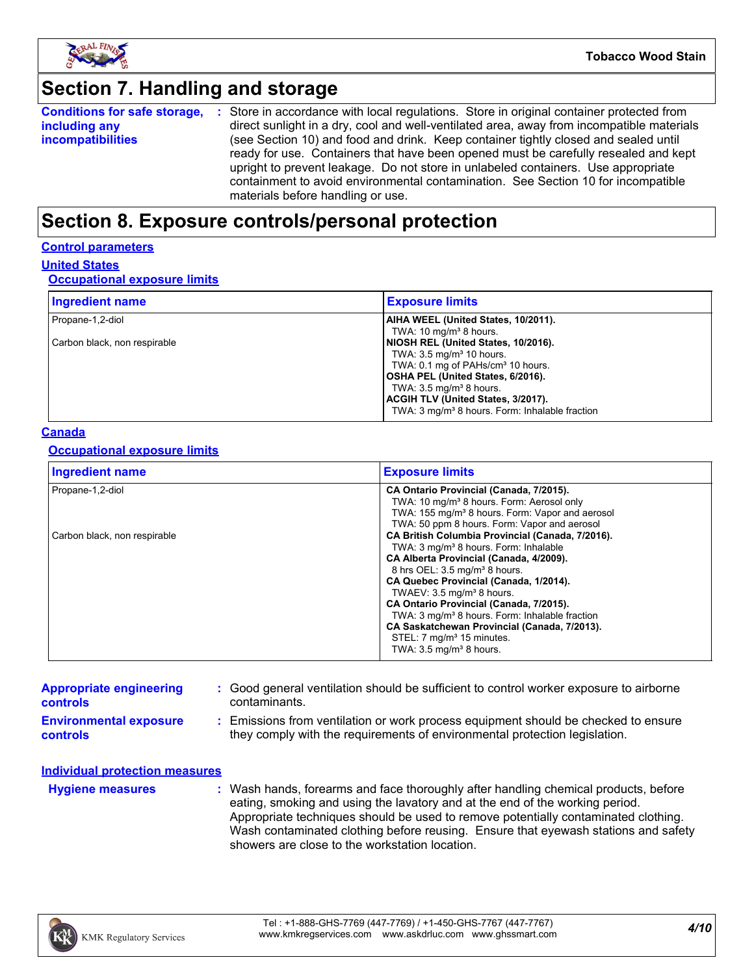

## **Section 7. Handling and storage**

|                          | <b>Conditions for safe storage, :</b> Store in accordance with local regulations. Store in original container protected from |
|--------------------------|------------------------------------------------------------------------------------------------------------------------------|
| including any            | direct sunlight in a dry, cool and well-ventilated area, away from incompatible materials                                    |
| <i>incompatibilities</i> | (see Section 10) and food and drink. Keep container tightly closed and sealed until                                          |
|                          | ready for use. Containers that have been opened must be carefully resealed and kept                                          |
|                          | upright to prevent leakage. Do not store in unlabeled containers. Use appropriate                                            |
|                          | containment to avoid environmental contamination. See Section 10 for incompatible                                            |
|                          | materials before handling or use.                                                                                            |

### **Section 8. Exposure controls/personal protection**

#### **Control parameters**

**United States**

#### **Occupational exposure limits**

| <b>Ingredient name</b>       | <b>Exposure limits</b>                                     |
|------------------------------|------------------------------------------------------------|
| Propane-1,2-diol             | AIHA WEEL (United States, 10/2011).                        |
|                              | TWA: 10 mg/m <sup>3</sup> 8 hours.                         |
| Carbon black, non respirable | NIOSH REL (United States, 10/2016).                        |
|                              | TWA: $3.5 \text{ mg/m}^3$ 10 hours.                        |
|                              | TWA: 0.1 mg of PAHs/cm <sup>3</sup> 10 hours.              |
|                              | OSHA PEL (United States, 6/2016).                          |
|                              | TWA: $3.5 \text{ mg/m}^3$ 8 hours.                         |
|                              | ACGIH TLV (United States, 3/2017).                         |
|                              | TWA: 3 mg/m <sup>3</sup> 8 hours. Form: Inhalable fraction |

#### **Canada**

#### **Occupational exposure limits**

| <b>Ingredient name</b>       | <b>Exposure limits</b>                                                                                                                                                                                                                                                                                                                                                                                                                                                                                                   |
|------------------------------|--------------------------------------------------------------------------------------------------------------------------------------------------------------------------------------------------------------------------------------------------------------------------------------------------------------------------------------------------------------------------------------------------------------------------------------------------------------------------------------------------------------------------|
| Propane-1,2-diol             | CA Ontario Provincial (Canada, 7/2015).<br>TWA: 10 mg/m <sup>3</sup> 8 hours. Form: Aerosol only<br>TWA: 155 mg/m <sup>3</sup> 8 hours. Form: Vapor and aerosol<br>TWA: 50 ppm 8 hours. Form: Vapor and aerosol                                                                                                                                                                                                                                                                                                          |
| Carbon black, non respirable | CA British Columbia Provincial (Canada, 7/2016).<br>TWA: 3 mg/m <sup>3</sup> 8 hours. Form: Inhalable<br>CA Alberta Provincial (Canada, 4/2009).<br>8 hrs OEL: 3.5 mg/m <sup>3</sup> 8 hours.<br>CA Quebec Provincial (Canada, 1/2014).<br>TWAEV: 3.5 mg/m <sup>3</sup> 8 hours.<br>CA Ontario Provincial (Canada, 7/2015).<br>TWA: 3 mg/m <sup>3</sup> 8 hours. Form: Inhalable fraction<br>CA Saskatchewan Provincial (Canada, 7/2013).<br>STEL: 7 mg/m <sup>3</sup> 15 minutes.<br>TWA: $3.5 \text{ mg/m}^3$ 8 hours. |

| <b>Appropriate engineering</b><br><b>controls</b> | : Good general ventilation should be sufficient to control worker exposure to airborne<br>contaminants.                                                          |
|---------------------------------------------------|------------------------------------------------------------------------------------------------------------------------------------------------------------------|
| <b>Environmental exposure</b><br><b>controls</b>  | : Emissions from ventilation or work process equipment should be checked to ensure<br>they comply with the requirements of environmental protection legislation. |
| <b>Individual protection measures</b>             |                                                                                                                                                                  |
| <b>Hygiene measures</b>                           | Wash hands, forearms and face thoroughly after handling chemical products, before                                                                                |

e moroughly after handling chemi eating, smoking and using the lavatory and at the end of the working period. Appropriate techniques should be used to remove potentially contaminated clothing. Wash contaminated clothing before reusing. Ensure that eyewash stations and safety showers are close to the workstation location. **Hygiene measures :** Wash han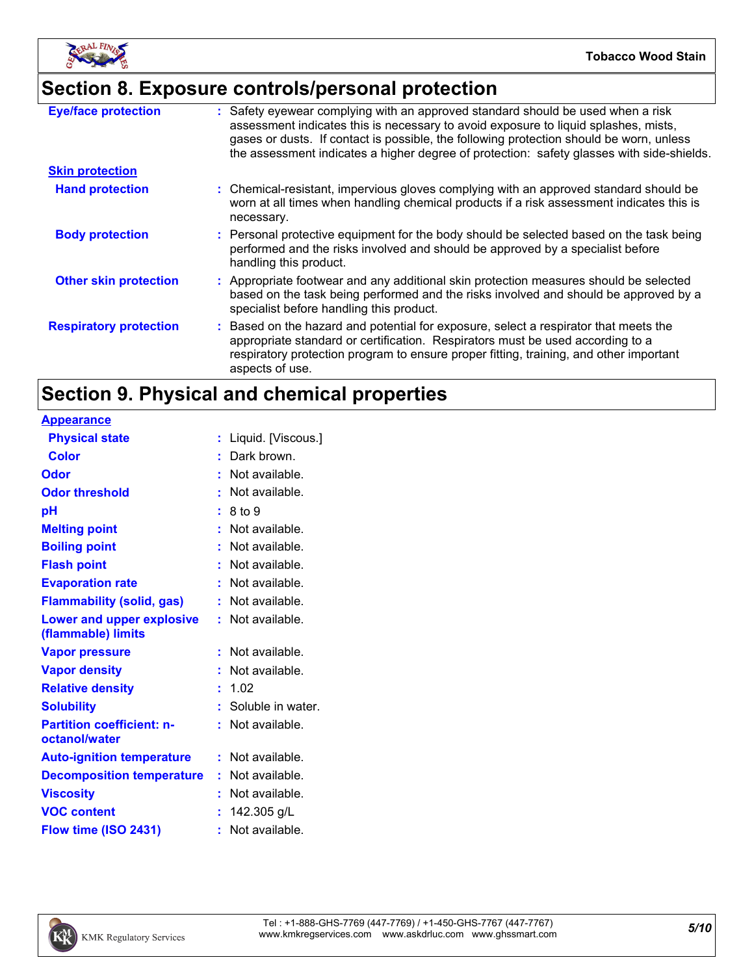

# **Section 8. Exposure controls/personal protection**

| <b>Eye/face protection</b>    | : Safety eyewear complying with an approved standard should be used when a risk<br>assessment indicates this is necessary to avoid exposure to liquid splashes, mists,<br>gases or dusts. If contact is possible, the following protection should be worn, unless<br>the assessment indicates a higher degree of protection: safety glasses with side-shields. |
|-------------------------------|----------------------------------------------------------------------------------------------------------------------------------------------------------------------------------------------------------------------------------------------------------------------------------------------------------------------------------------------------------------|
| <b>Skin protection</b>        |                                                                                                                                                                                                                                                                                                                                                                |
| <b>Hand protection</b>        | : Chemical-resistant, impervious gloves complying with an approved standard should be<br>worn at all times when handling chemical products if a risk assessment indicates this is<br>necessary.                                                                                                                                                                |
| <b>Body protection</b>        | : Personal protective equipment for the body should be selected based on the task being<br>performed and the risks involved and should be approved by a specialist before<br>handling this product.                                                                                                                                                            |
| <b>Other skin protection</b>  | : Appropriate footwear and any additional skin protection measures should be selected<br>based on the task being performed and the risks involved and should be approved by a<br>specialist before handling this product.                                                                                                                                      |
| <b>Respiratory protection</b> | : Based on the hazard and potential for exposure, select a respirator that meets the<br>appropriate standard or certification. Respirators must be used according to a<br>respiratory protection program to ensure proper fitting, training, and other important<br>aspects of use.                                                                            |

# **Section 9. Physical and chemical properties**

| Liquid. [Viscous.]<br>t. |
|--------------------------|
| Dark brown.              |
| Not available.<br>÷.     |
| Not available.           |
| 8 to 9                   |
| Not available.           |
| Not available.           |
| : Not available.         |
| Not available.           |
| $:$ Not available.       |
| Not available.<br>t.     |
| Not available.<br>t.     |
| Not available.           |
| 1.02                     |
| Soluble in water.<br>÷.  |
| Not available.<br>t.     |
| Not available.<br>t.     |
| : Not available.         |
| Not available.<br>ŧ.     |
| 142.305 g/L              |
| Not available.<br>t.     |
|                          |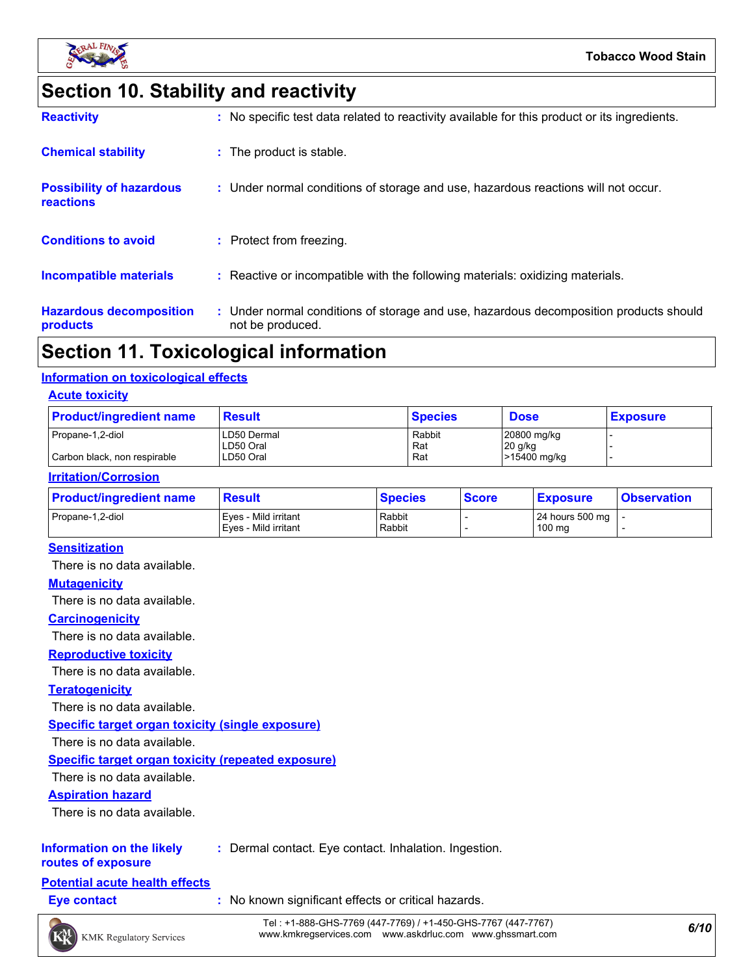

# **Section 10. Stability and reactivity**

| <b>Reactivity</b>                            | : No specific test data related to reactivity available for this product or its ingredients.              |
|----------------------------------------------|-----------------------------------------------------------------------------------------------------------|
| <b>Chemical stability</b>                    | : The product is stable.                                                                                  |
| <b>Possibility of hazardous</b><br>reactions | : Under normal conditions of storage and use, hazardous reactions will not occur.                         |
| <b>Conditions to avoid</b>                   | : Protect from freezing.                                                                                  |
| Incompatible materials                       | : Reactive or incompatible with the following materials: oxidizing materials.                             |
| <b>Hazardous decomposition</b><br>products   | : Under normal conditions of storage and use, hazardous decomposition products should<br>not be produced. |

### **Section 11. Toxicological information**

#### **Information on toxicological effects**

#### **Acute toxicity**

| <b>Product/ingredient name</b> | <b>Result</b>            | <b>Species</b> | <b>Dose</b>              | <b>Exposure</b> |  |
|--------------------------------|--------------------------|----------------|--------------------------|-----------------|--|
| Propane-1,2-diol               | LD50 Dermal<br>LD50 Oral | Rabbit<br>Rat  | 20800 mg/kg<br>$20$ g/kg |                 |  |
| Carbon black, non respirable   | LD50 Oral                | Rat            | >15400 mg/kg             |                 |  |

#### **Irritation/Corrosion**

| <b>Product/ingredient name</b> | <b>Result</b>                                | <b>Species</b>   | <b>Score</b> | <b>Exposure</b>                               | <b>Observation</b> |
|--------------------------------|----------------------------------------------|------------------|--------------|-----------------------------------------------|--------------------|
| Propane-1.2-diol               | Eves - Mild irritant<br>Eyes - Mild irritant | Rabbit<br>Rabbit |              | 24 hours 500 mg $\vert$ -<br>$100 \text{ mg}$ |                    |

#### **Sensitization**

There is no data available.

#### **Mutagenicity**

There is no data available.

#### **Carcinogenicity**

There is no data available.

#### **Reproductive toxicity**

There is no data available.

#### **Teratogenicity**

There is no data available.

#### **Specific target organ toxicity (single exposure)**

There is no data available.

#### **Specific target organ toxicity (repeated exposure)**

There is no data available.

#### **Aspiration hazard**

There is no data available.

#### **Information on the likely :** Dermal contact. Eye contact. Inhalation. Ingestion.

**routes of exposure**

#### **Potential acute health effects**

**Eye contact :** No known significant effects or critical hazards.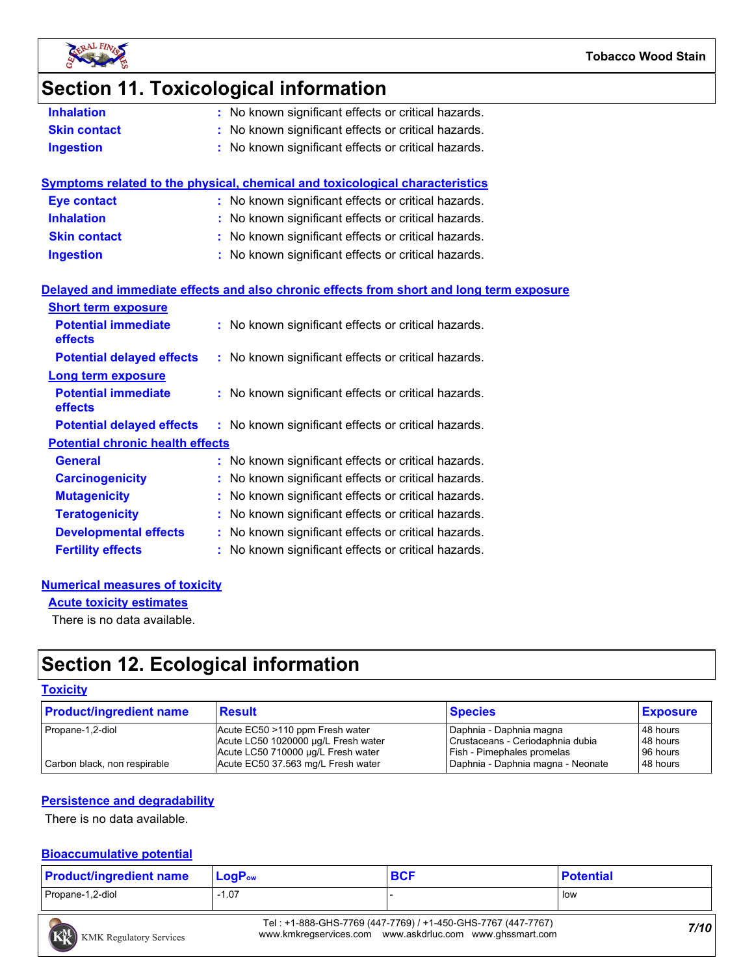

### **Section 11. Toxicological information**

| No known significant effects or critical hazards.<br><b>Inhalation</b> |  |
|------------------------------------------------------------------------|--|
|------------------------------------------------------------------------|--|

- **Skin contact :** No known significant effects or critical hazards.
- **Ingestion :** No known significant effects or critical hazards.

| Symptoms related to the physical, chemical and toxicological characteristics |                                                     |  |  |  |  |
|------------------------------------------------------------------------------|-----------------------------------------------------|--|--|--|--|
| <b>Eye contact</b>                                                           | : No known significant effects or critical hazards. |  |  |  |  |
| <b>Inhalation</b>                                                            | : No known significant effects or critical hazards. |  |  |  |  |
| <b>Skin contact</b>                                                          | : No known significant effects or critical hazards. |  |  |  |  |
| <b>Ingestion</b>                                                             | : No known significant effects or critical hazards. |  |  |  |  |
|                                                                              |                                                     |  |  |  |  |

#### **Delayed and immediate effects and also chronic effects from short and long term exposure**

| <b>Short term exposure</b>                   |                                                     |
|----------------------------------------------|-----------------------------------------------------|
| <b>Potential immediate</b><br><b>effects</b> | : No known significant effects or critical hazards. |
| <b>Potential delayed effects</b>             | : No known significant effects or critical hazards. |
| <b>Long term exposure</b>                    |                                                     |
| <b>Potential immediate</b><br><b>effects</b> | : No known significant effects or critical hazards. |
| <b>Potential delayed effects</b>             | : No known significant effects or critical hazards. |
| <b>Potential chronic health effects</b>      |                                                     |
| <b>General</b>                               | : No known significant effects or critical hazards. |
| <b>Carcinogenicity</b>                       | : No known significant effects or critical hazards. |
| <b>Mutagenicity</b>                          | : No known significant effects or critical hazards. |
| <b>Teratogenicity</b>                        | : No known significant effects or critical hazards. |
| <b>Developmental effects</b>                 | : No known significant effects or critical hazards. |
| <b>Fertility effects</b>                     | : No known significant effects or critical hazards. |

#### **Numerical measures of toxicity**

**Acute toxicity estimates**

There is no data available.

## **Section 12. Ecological information**

#### **Toxicity**

| <b>Product/ingredient name</b> | <b>Result</b>                                                                                                | <b>Species</b>                                                                                   | <b>Exposure</b>                  |
|--------------------------------|--------------------------------------------------------------------------------------------------------------|--------------------------------------------------------------------------------------------------|----------------------------------|
| Propane-1,2-diol               | Acute EC50 >110 ppm Fresh water<br>Acute LC50 1020000 µg/L Fresh water<br>Acute LC50 710000 µg/L Fresh water | Daphnia - Daphnia magna<br>Crustaceans - Ceriodaphnia dubia<br><b>Fish - Pimephales promelas</b> | 48 hours<br>48 hours<br>96 hours |
| Carbon black, non respirable   | Acute EC50 37.563 mg/L Fresh water                                                                           | Daphnia - Daphnia magna - Neonate                                                                | 48 hours                         |

#### **Persistence and degradability**

There is no data available.

#### **Bioaccumulative potential**

| <b>Product/ingredient name</b> | ∣ LoqP <sub>ow</sub> | <b>BCF</b> | <b>Potential</b> |
|--------------------------------|----------------------|------------|------------------|
| Propane-1,2-diol               | $-1.07$              |            | low              |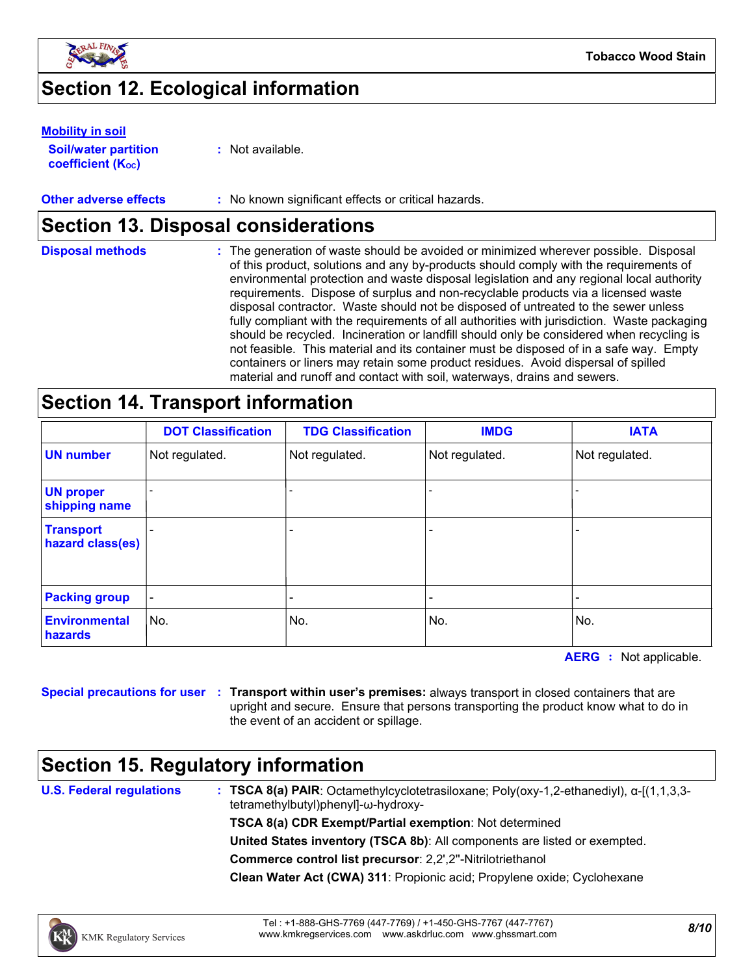

## **Section 12. Ecological information**

#### **Mobility in soil**

**Soil/water partition coefficient (KOC)**

**:** Not available.

#### **Other adverse effects** : No known significant effects or critical hazards.

### **Section 13. Disposal considerations**

| <b>Disposal methods</b> | : The generation of waste should be avoided or minimized wherever possible. Disposal<br>of this product, solutions and any by-products should comply with the requirements of<br>environmental protection and waste disposal legislation and any regional local authority<br>requirements. Dispose of surplus and non-recyclable products via a licensed waste<br>disposal contractor. Waste should not be disposed of untreated to the sewer unless<br>fully compliant with the requirements of all authorities with jurisdiction. Waste packaging<br>should be recycled. Incineration or landfill should only be considered when recycling is<br>not feasible. This material and its container must be disposed of in a safe way. Empty<br>containers or liners may retain some product residues. Avoid dispersal of spilled |
|-------------------------|--------------------------------------------------------------------------------------------------------------------------------------------------------------------------------------------------------------------------------------------------------------------------------------------------------------------------------------------------------------------------------------------------------------------------------------------------------------------------------------------------------------------------------------------------------------------------------------------------------------------------------------------------------------------------------------------------------------------------------------------------------------------------------------------------------------------------------|
|                         | material and runoff and contact with soil, waterways, drains and sewers.                                                                                                                                                                                                                                                                                                                                                                                                                                                                                                                                                                                                                                                                                                                                                       |

### **Section 14. Transport information**

|                                        | <b>DOT Classification</b> | <b>TDG Classification</b> | <b>IMDG</b>    | <b>IATA</b>    |
|----------------------------------------|---------------------------|---------------------------|----------------|----------------|
| <b>UN number</b>                       | Not regulated.            | Not regulated.            | Not regulated. | Not regulated. |
| <b>UN proper</b><br>shipping name      |                           | $\overline{a}$            |                |                |
| <b>Transport</b><br>hazard class(es)   |                           | ۰                         |                |                |
| <b>Packing group</b>                   |                           |                           |                | -              |
| <b>Environmental</b><br><b>hazards</b> | No.                       | No.                       | No.            | No.            |

**AERG :** Not applicable.

**Special precautions for user Transport within user's premises:** always transport in closed containers that are **:** upright and secure. Ensure that persons transporting the product know what to do in the event of an accident or spillage.

### **Section 15. Regulatory information**

**U.S. Federal regulations**

**: TSCA 8(a) PAIR**: Octamethylcyclotetrasiloxane; Poly(oxy-1,2-ethanediyl), α-[(1,1,3,3 tetramethylbutyl)phenyl]-ω-hydroxy-

**TSCA 8(a) CDR Exempt/Partial exemption**: Not determined

**United States inventory (TSCA 8b)**: All components are listed or exempted.

**Commerce control list precursor**: 2,2',2''-Nitrilotriethanol

**Clean Water Act (CWA) 311**: Propionic acid; Propylene oxide; Cyclohexane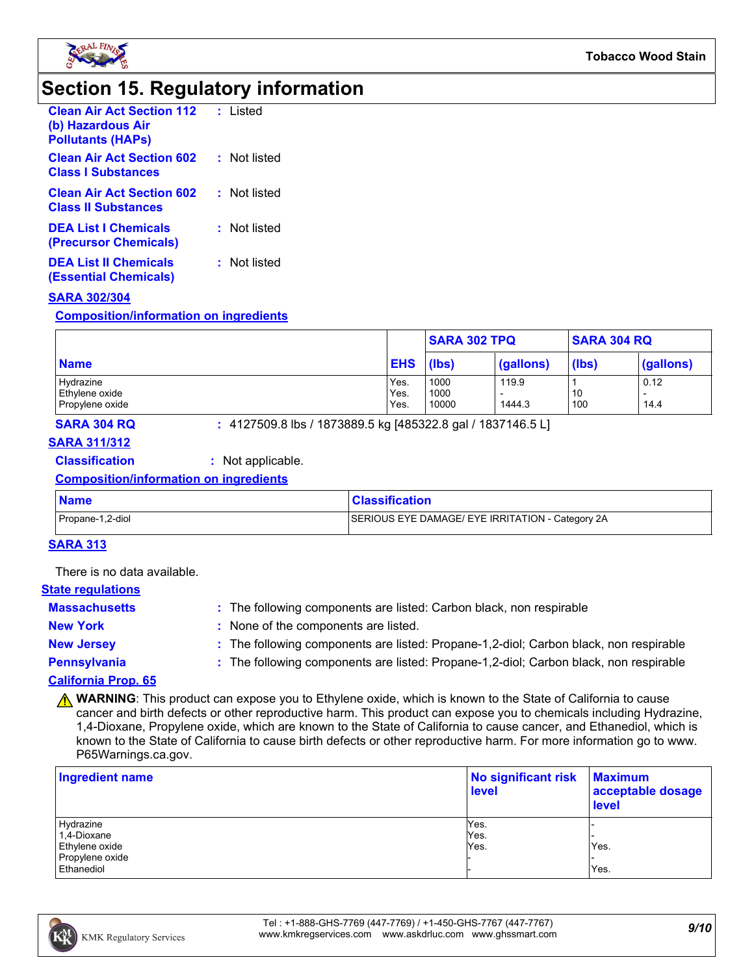

### **Section 15. Regulatory information**

| <b>Clean Air Act Section 112</b><br>(b) Hazardous Air<br><b>Pollutants (HAPS)</b> | : Listed     |
|-----------------------------------------------------------------------------------|--------------|
| <b>Clean Air Act Section 602</b><br><b>Class   Substances</b>                     | : Not listed |
| <b>Clean Air Act Section 602</b><br><b>Class II Substances</b>                    | : Not listed |
| <b>DEA List   Chemicals</b><br>(Precursor Chemicals)                              | : Not listed |
| <b>DEA List II Chemicals</b><br>(Essential Chemicals)                             | : Not listed |

#### **SARA 302/304**

**Composition/information on ingredients**

|                 |            | <b>SARA 302 TPQ</b> |           | <b>SARA 304 RQ</b> |                          |
|-----------------|------------|---------------------|-----------|--------------------|--------------------------|
| <b>Name</b>     | <b>EHS</b> | (lbs)               | (gallons) | (lbs)              | (gallons)                |
| Hydrazine       | Yes.       | 1000                | 119.9     |                    | 0.12                     |
| Ethylene oxide  | Yes.       | 1000                |           | 10                 | $\overline{\phantom{0}}$ |
| Propylene oxide | Yes.       | 10000               | 1444.3    | 100                | 14.4                     |

**SARA 304 RQ :** 4127509.8 lbs / 1873889.5 kg [485322.8 gal / 1837146.5 L]

### **SARA 311/312**

#### **Classification :** Not applicable.

#### **Composition/information on ingredients**

| <b>Name</b>      | <b>Classification</b>                            |
|------------------|--------------------------------------------------|
| Propane-1,2-diol | SERIOUS EYE DAMAGE/ EYE IRRITATION - Category 2A |

#### **SARA 313**

There is no data available.

#### **State regulations**

| <b>Massachusetts</b>    | : The following components are listed: Carbon black, non respirable                   |
|-------------------------|---------------------------------------------------------------------------------------|
| <b>New York</b>         | : None of the components are listed.                                                  |
| <b>New Jersey</b>       | : The following components are listed: Propane-1,2-diol; Carbon black, non respirable |
| Pennsylvania            | : The following components are listed: Propane-1,2-diol; Carbon black, non respirable |
| <b>ALBEL JE BULL AR</b> |                                                                                       |

#### **California Prop. 65**

**A WARNING**: This product can expose you to Ethylene oxide, which is known to the State of California to cause cancer and birth defects or other reproductive harm. This product can expose you to chemicals including Hydrazine, 1,4-Dioxane, Propylene oxide, which are known to the State of California to cause cancer, and Ethanediol, which is known to the State of California to cause birth defects or other reproductive harm. For more information go to www. P65Warnings.ca.gov.

| <b>Ingredient name</b> | No significant risk<br><b>level</b> | <b>Maximum</b><br>acceptable dosage<br>level |  |
|------------------------|-------------------------------------|----------------------------------------------|--|
| Hydrazine              | Yes.                                |                                              |  |
| 1,4-Dioxane            | Yes.                                |                                              |  |
| Ethylene oxide         | Yes.                                | Yes.                                         |  |
| Propylene oxide        |                                     |                                              |  |
| Ethanediol             |                                     | Yes.                                         |  |